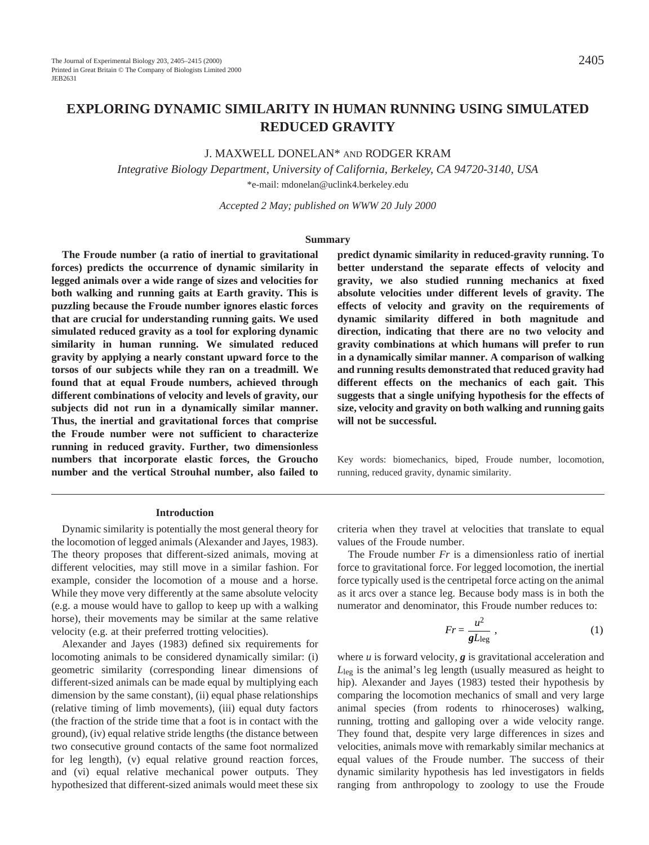# **EXPLORING DYNAMIC SIMILARITY IN HUMAN RUNNING USING SIMULATED REDUCED GRAVITY**

J. MAXWELL DONELAN\* AND RODGER KRAM

*Integrative Biology Department, University of California, Berkeley, CA 94720-3140, USA* \*e-mail: mdonelan@uclink4.berkeley.edu

*Accepted 2 May; published on WWW 20 July 2000*

#### **Summary**

**The Froude number (a ratio of inertial to gravitational forces) predicts the occurrence of dynamic similarity in legged animals over a wide range of sizes and velocities for both walking and running gaits at Earth gravity. This is puzzling because the Froude number ignores elastic forces that are crucial for understanding running gaits. We used simulated reduced gravity as a tool for exploring dynamic similarity in human running. We simulated reduced gravity by applying a nearly constant upward force to the torsos of our subjects while they ran on a treadmill. We found that at equal Froude numbers, achieved through different combinations of velocity and levels of gravity, our subjects did not run in a dynamically similar manner. Thus, the inertial and gravitational forces that comprise the Froude number were not sufficient to characterize running in reduced gravity. Further, two dimensionless numbers that incorporate elastic forces, the Groucho number and the vertical Strouhal number, also failed to**

#### **Introduction**

Dynamic similarity is potentially the most general theory for the locomotion of legged animals (Alexander and Jayes, 1983). The theory proposes that different-sized animals, moving at different velocities, may still move in a similar fashion. For example, consider the locomotion of a mouse and a horse. While they move very differently at the same absolute velocity (e.g. a mouse would have to gallop to keep up with a walking horse), their movements may be similar at the same relative velocity (e.g. at their preferred trotting velocities).

Alexander and Jayes (1983) defined six requirements for locomoting animals to be considered dynamically similar: (i) geometric similarity (corresponding linear dimensions of different-sized animals can be made equal by multiplying each dimension by the same constant), (ii) equal phase relationships (relative timing of limb movements), (iii) equal duty factors (the fraction of the stride time that a foot is in contact with the ground), (iv) equal relative stride lengths (the distance between two consecutive ground contacts of the same foot normalized for leg length), (v) equal relative ground reaction forces, and (vi) equal relative mechanical power outputs. They hypothesized that different-sized animals would meet these six

**predict dynamic similarity in reduced-gravity running. To better understand the separate effects of velocity and gravity, we also studied running mechanics at fixed absolute velocities under different levels of gravity. The effects of velocity and gravity on the requirements of dynamic similarity differed in both magnitude and direction, indicating that there are no two velocity and gravity combinations at which humans will prefer to run in a dynamically similar manner. A comparison of walking and running results demonstrated that reduced gravity had different effects on the mechanics of each gait. This suggests that a single unifying hypothesis for the effects of size, velocity and gravity on both walking and running gaits will not be successful.**

Key words: biomechanics, biped, Froude number, locomotion, running, reduced gravity, dynamic similarity.

criteria when they travel at velocities that translate to equal values of the Froude number.

The Froude number *Fr* is a dimensionless ratio of inertial force to gravitational force. For legged locomotion, the inertial force typically used is the centripetal force acting on the animal as it arcs over a stance leg. Because body mass is in both the numerator and denominator, this Froude number reduces to:

$$
Fr = \frac{u^2}{gL_{\text{leg}}},\tag{1}
$$

where *u* is forward velocity, *g* is gravitational acceleration and *L*leg is the animal's leg length (usually measured as height to hip). Alexander and Jayes (1983) tested their hypothesis by comparing the locomotion mechanics of small and very large animal species (from rodents to rhinoceroses) walking, running, trotting and galloping over a wide velocity range. They found that, despite very large differences in sizes and velocities, animals move with remarkably similar mechanics at equal values of the Froude number. The success of their dynamic similarity hypothesis has led investigators in fields ranging from anthropology to zoology to use the Froude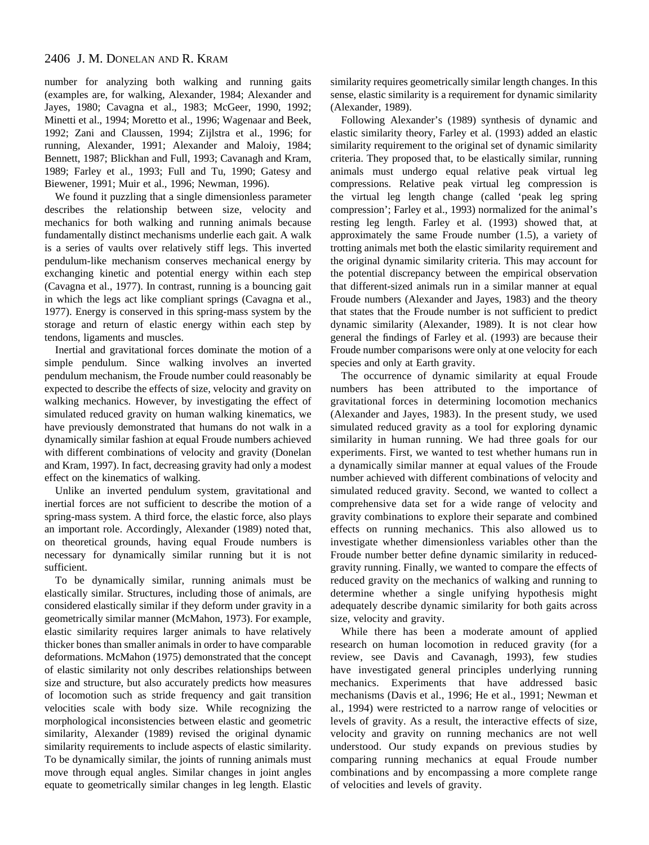number for analyzing both walking and running gaits (examples are, for walking, Alexander, 1984; Alexander and Jayes, 1980; Cavagna et al., 1983; McGeer, 1990, 1992; Minetti et al., 1994; Moretto et al., 1996; Wagenaar and Beek, 1992; Zani and Claussen, 1994; Zijlstra et al., 1996; for running, Alexander, 1991; Alexander and Maloiy, 1984; Bennett, 1987; Blickhan and Full, 1993; Cavanagh and Kram, 1989; Farley et al., 1993; Full and Tu, 1990; Gatesy and Biewener, 1991; Muir et al., 1996; Newman, 1996).

We found it puzzling that a single dimensionless parameter describes the relationship between size, velocity and mechanics for both walking and running animals because fundamentally distinct mechanisms underlie each gait. A walk is a series of vaults over relatively stiff legs. This inverted pendulum-like mechanism conserves mechanical energy by exchanging kinetic and potential energy within each step (Cavagna et al., 1977). In contrast, running is a bouncing gait in which the legs act like compliant springs (Cavagna et al., 1977). Energy is conserved in this spring-mass system by the storage and return of elastic energy within each step by tendons, ligaments and muscles.

Inertial and gravitational forces dominate the motion of a simple pendulum. Since walking involves an inverted pendulum mechanism, the Froude number could reasonably be expected to describe the effects of size, velocity and gravity on walking mechanics. However, by investigating the effect of simulated reduced gravity on human walking kinematics, we have previously demonstrated that humans do not walk in a dynamically similar fashion at equal Froude numbers achieved with different combinations of velocity and gravity (Donelan and Kram, 1997). In fact, decreasing gravity had only a modest effect on the kinematics of walking.

Unlike an inverted pendulum system, gravitational and inertial forces are not sufficient to describe the motion of a spring-mass system. A third force, the elastic force, also plays an important role. Accordingly, Alexander (1989) noted that, on theoretical grounds, having equal Froude numbers is necessary for dynamically similar running but it is not sufficient.

To be dynamically similar, running animals must be elastically similar. Structures, including those of animals, are considered elastically similar if they deform under gravity in a geometrically similar manner (McMahon, 1973). For example, elastic similarity requires larger animals to have relatively thicker bones than smaller animals in order to have comparable deformations. McMahon (1975) demonstrated that the concept of elastic similarity not only describes relationships between size and structure, but also accurately predicts how measures of locomotion such as stride frequency and gait transition velocities scale with body size. While recognizing the morphological inconsistencies between elastic and geometric similarity, Alexander (1989) revised the original dynamic similarity requirements to include aspects of elastic similarity. To be dynamically similar, the joints of running animals must move through equal angles. Similar changes in joint angles equate to geometrically similar changes in leg length. Elastic similarity requires geometrically similar length changes. In this sense, elastic similarity is a requirement for dynamic similarity (Alexander, 1989).

Following Alexander's (1989) synthesis of dynamic and elastic similarity theory, Farley et al. (1993) added an elastic similarity requirement to the original set of dynamic similarity criteria. They proposed that, to be elastically similar, running animals must undergo equal relative peak virtual leg compressions. Relative peak virtual leg compression is the virtual leg length change (called 'peak leg spring compression'; Farley et al., 1993) normalized for the animal's resting leg length. Farley et al. (1993) showed that, at approximately the same Froude number (1.5), a variety of trotting animals met both the elastic similarity requirement and the original dynamic similarity criteria. This may account for the potential discrepancy between the empirical observation that different-sized animals run in a similar manner at equal Froude numbers (Alexander and Jayes, 1983) and the theory that states that the Froude number is not sufficient to predict dynamic similarity (Alexander, 1989). It is not clear how general the findings of Farley et al. (1993) are because their Froude number comparisons were only at one velocity for each species and only at Earth gravity.

The occurrence of dynamic similarity at equal Froude numbers has been attributed to the importance of gravitational forces in determining locomotion mechanics (Alexander and Jayes, 1983). In the present study, we used simulated reduced gravity as a tool for exploring dynamic similarity in human running. We had three goals for our experiments. First, we wanted to test whether humans run in a dynamically similar manner at equal values of the Froude number achieved with different combinations of velocity and simulated reduced gravity. Second, we wanted to collect a comprehensive data set for a wide range of velocity and gravity combinations to explore their separate and combined effects on running mechanics. This also allowed us to investigate whether dimensionless variables other than the Froude number better define dynamic similarity in reducedgravity running. Finally, we wanted to compare the effects of reduced gravity on the mechanics of walking and running to determine whether a single unifying hypothesis might adequately describe dynamic similarity for both gaits across size, velocity and gravity.

While there has been a moderate amount of applied research on human locomotion in reduced gravity (for a review, see Davis and Cavanagh, 1993), few studies have investigated general principles underlying running mechanics. Experiments that have addressed basic mechanisms (Davis et al., 1996; He et al., 1991; Newman et al., 1994) were restricted to a narrow range of velocities or levels of gravity. As a result, the interactive effects of size, velocity and gravity on running mechanics are not well understood. Our study expands on previous studies by comparing running mechanics at equal Froude number combinations and by encompassing a more complete range of velocities and levels of gravity.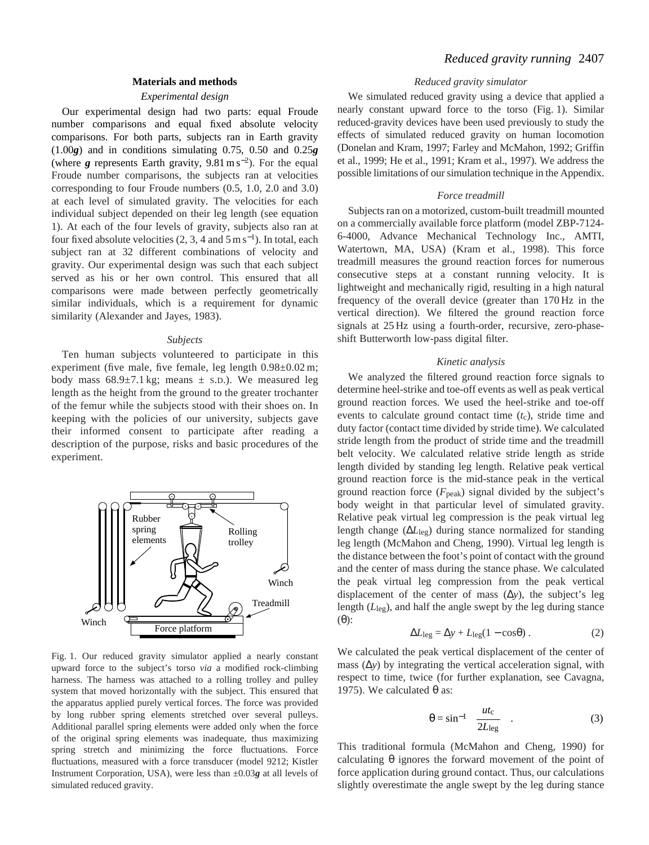# **Materials and methods**

# *Experimental design*

Our experimental design had two parts: equal Froude number comparisons and equal fixed absolute velocity comparisons. For both parts, subjects ran in Earth gravity (1.00*g*) and in conditions simulating 0.75, 0.50 and 0.25*g* (where  $g$  represents Earth gravity,  $9.81 \text{ m s}^{-2}$ ). For the equal Froude number comparisons, the subjects ran at velocities corresponding to four Froude numbers (0.5, 1.0, 2.0 and 3.0) at each level of simulated gravity. The velocities for each individual subject depended on their leg length (see equation 1). At each of the four levels of gravity, subjects also ran at four fixed absolute velocities (2, 3, 4 and  $5 \text{ m s}^{-1}$ ). In total, each subject ran at 32 different combinations of velocity and gravity. Our experimental design was such that each subject served as his or her own control. This ensured that all comparisons were made between perfectly geometrically similar individuals, which is a requirement for dynamic similarity (Alexander and Jayes, 1983).

#### *Subjects*

Ten human subjects volunteered to participate in this experiment (five male, five female, leg length  $0.98\pm0.02$  m; body mass  $68.9 \pm 7.1 \text{ kg}$ ; means  $\pm$  s.D.). We measured leg length as the height from the ground to the greater trochanter of the femur while the subjects stood with their shoes on. In keeping with the policies of our university, subjects gave their informed consent to participate after reading a description of the purpose, risks and basic procedures of the experiment.



Fig. 1. Our reduced gravity simulator applied a nearly constant upward force to the subject's torso *via* a modified rock-climbing harness. The harness was attached to a rolling trolley and pulley system that moved horizontally with the subject. This ensured that the apparatus applied purely vertical forces. The force was provided by long rubber spring elements stretched over several pulleys. Additional parallel spring elements were added only when the force of the original spring elements was inadequate, thus maximizing spring stretch and minimizing the force fluctuations. Force fluctuations, measured with a force transducer (model 9212; Kistler Instrument Corporation, USA), were less than ±0.03*g* at all levels of simulated reduced gravity.

### *Reduced gravity simulator*

We simulated reduced gravity using a device that applied a nearly constant upward force to the torso (Fig. 1). Similar reduced-gravity devices have been used previously to study the effects of simulated reduced gravity on human locomotion (Donelan and Kram, 1997; Farley and McMahon, 1992; Griffin et al., 1999; He et al., 1991; Kram et al., 1997). We address the possible limitations of our simulation technique in the Appendix.

### *Force treadmill*

Subjects ran on a motorized, custom-built treadmill mounted on a commercially available force platform (model ZBP-7124- 6-4000, Advance Mechanical Technology Inc., AMTI, Watertown, MA, USA) (Kram et al., 1998). This force treadmill measures the ground reaction forces for numerous consecutive steps at a constant running velocity. It is lightweight and mechanically rigid, resulting in a high natural frequency of the overall device (greater than 170 Hz in the vertical direction). We filtered the ground reaction force signals at 25 Hz using a fourth-order, recursive, zero-phaseshift Butterworth low-pass digital filter.

#### *Kinetic analysis*

We analyzed the filtered ground reaction force signals to determine heel-strike and toe-off events as well as peak vertical ground reaction forces. We used the heel-strike and toe-off events to calculate ground contact time  $(t_c)$ , stride time and duty factor (contact time divided by stride time). We calculated stride length from the product of stride time and the treadmill belt velocity. We calculated relative stride length as stride length divided by standing leg length. Relative peak vertical ground reaction force is the mid-stance peak in the vertical ground reaction force  $(F_{\text{peak}})$  signal divided by the subject's body weight in that particular level of simulated gravity. Relative peak virtual leg compression is the peak virtual leg length change (∆*L*leg) during stance normalized for standing leg length (McMahon and Cheng, 1990). Virtual leg length is the distance between the foot's point of contact with the ground and the center of mass during the stance phase. We calculated the peak virtual leg compression from the peak vertical displacement of the center of mass (∆*y*), the subject's leg length (*L*leg), and half the angle swept by the leg during stance (θ):

$$
\Delta L_{\text{leg}} = \Delta y + L_{\text{leg}} (1 - \cos \theta) \,. \tag{2}
$$

We calculated the peak vertical displacement of the center of mass (∆*y*) by integrating the vertical acceleration signal, with respect to time, twice (for further explanation, see Cavagna, 1975). We calculated  $θ$  as:

$$
\theta = \sin^{-1}\left(\frac{ut_{\rm c}}{2L_{\rm leg}}\right). \tag{3}
$$

This traditional formula (McMahon and Cheng, 1990) for calculating  $\theta$  ignores the forward movement of the point of force application during ground contact. Thus, our calculations slightly overestimate the angle swept by the leg during stance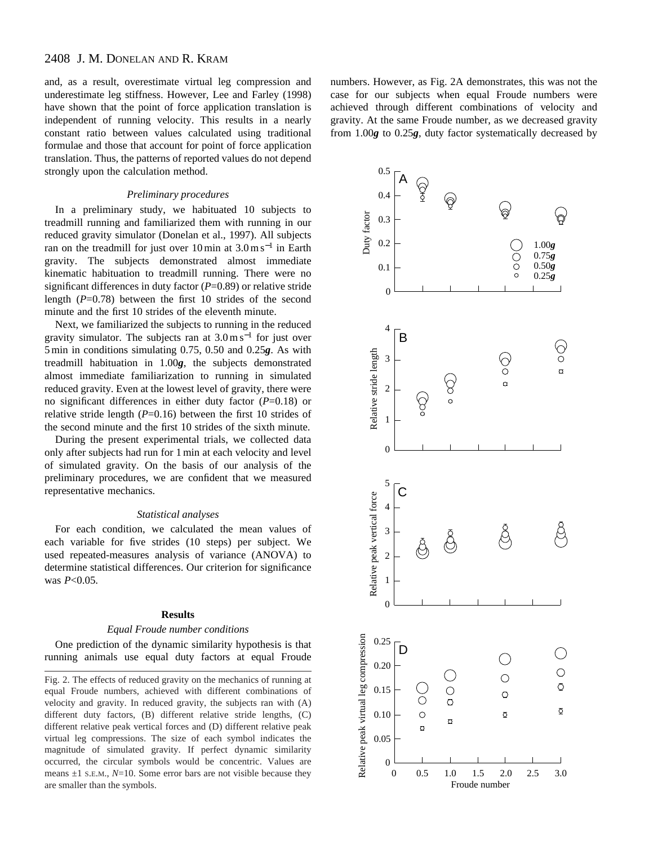# 2408 J. M. DONELAN AND R. KRAM

and, as a result, overestimate virtual leg compression and underestimate leg stiffness. However, Lee and Farley (1998) have shown that the point of force application translation is independent of running velocity. This results in a nearly constant ratio between values calculated using traditional formulae and those that account for point of force application translation. Thus, the patterns of reported values do not depend strongly upon the calculation method.

# *Preliminary procedures*

In a preliminary study, we habituated 10 subjects to treadmill running and familiarized them with running in our reduced gravity simulator (Donelan et al., 1997). All subjects ran on the treadmill for just over  $10 \text{ min}$  at  $3.0 \text{ m s}^{-1}$  in Earth gravity. The subjects demonstrated almost immediate kinematic habituation to treadmill running. There were no significant differences in duty factor (*P*=0.89) or relative stride length  $(P=0.78)$  between the first 10 strides of the second minute and the first 10 strides of the eleventh minute.

Next, we familiarized the subjects to running in the reduced gravity simulator. The subjects ran at  $3.0 \text{ m s}^{-1}$  for just over 5 min in conditions simulating 0.75, 0.50 and 0.25*g*. As with treadmill habituation in 1.00*g*, the subjects demonstrated almost immediate familiarization to running in simulated reduced gravity. Even at the lowest level of gravity, there were no significant differences in either duty factor (*P*=0.18) or relative stride length (*P*=0.16) between the first 10 strides of the second minute and the first 10 strides of the sixth minute.

During the present experimental trials, we collected data only after subjects had run for 1 min at each velocity and level of simulated gravity. On the basis of our analysis of the preliminary procedures, we are confident that we measured representative mechanics.

#### *Statistical analyses*

For each condition, we calculated the mean values of each variable for five strides (10 steps) per subject. We used repeated-measures analysis of variance (ANOVA) to determine statistical differences. Our criterion for significance was *P*<0.05.

### **Results**

### *Equal Froude number conditions*

One prediction of the dynamic similarity hypothesis is that running animals use equal duty factors at equal Froude

Fig. 2. The effects of reduced gravity on the mechanics of running at equal Froude numbers, achieved with different combinations of velocity and gravity. In reduced gravity, the subjects ran with (A) different duty factors, (B) different relative stride lengths, (C) different relative peak vertical forces and (D) different relative peak virtual leg compressions. The size of each symbol indicates the magnitude of simulated gravity. If perfect dynamic similarity occurred, the circular symbols would be concentric. Values are means  $\pm 1$  s.E.M.,  $N=10$ . Some error bars are not visible because they are smaller than the symbols.

numbers. However, as Fig. 2A demonstrates, this was not the case for our subjects when equal Froude numbers were achieved through different combinations of velocity and gravity. At the same Froude number, as we decreased gravity from 1.00*g* to 0.25*g*, duty factor systematically decreased by

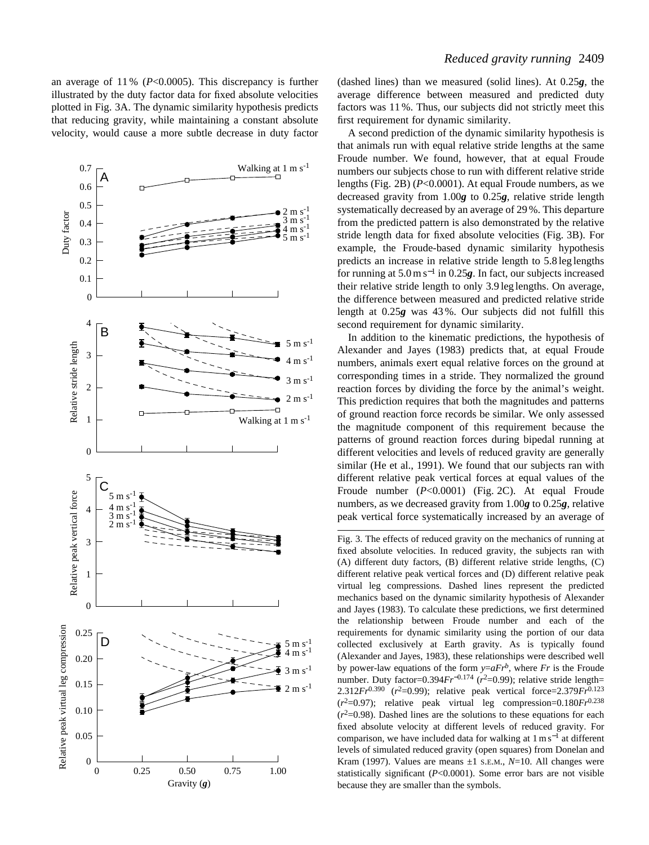an average of 11 % (*P*<0.0005). This discrepancy is further illustrated by the duty factor data for fixed absolute velocities plotted in Fig. 3A. The dynamic similarity hypothesis predicts that reducing gravity, while maintaining a constant absolute velocity, would cause a more subtle decrease in duty factor



(dashed lines) than we measured (solid lines). At 0.25*g*, the average difference between measured and predicted duty factors was 11 %. Thus, our subjects did not strictly meet this first requirement for dynamic similarity.

A second prediction of the dynamic similarity hypothesis is that animals run with equal relative stride lengths at the same Froude number. We found, however, that at equal Froude numbers our subjects chose to run with different relative stride lengths (Fig. 2B) (*P*<0.0001). At equal Froude numbers, as we decreased gravity from 1.00*g* to 0.25*g*, relative stride length systematically decreased by an average of 29 %. This departure from the predicted pattern is also demonstrated by the relative stride length data for fixed absolute velocities (Fig. 3B). For example, the Froude-based dynamic similarity hypothesis predicts an increase in relative stride length to 5.8 leg lengths for running at 5.0 m s−<sup>1</sup> in 0.25*g*. In fact, our subjects increased their relative stride length to only 3.9 leg lengths. On average, the difference between measured and predicted relative stride length at 0.25*g* was 43 %. Our subjects did not fulfill this second requirement for dynamic similarity.

In addition to the kinematic predictions, the hypothesis of Alexander and Jayes (1983) predicts that, at equal Froude numbers, animals exert equal relative forces on the ground at corresponding times in a stride. They normalized the ground reaction forces by dividing the force by the animal's weight. This prediction requires that both the magnitudes and patterns of ground reaction force records be similar. We only assessed the magnitude component of this requirement because the patterns of ground reaction forces during bipedal running at different velocities and levels of reduced gravity are generally similar (He et al., 1991). We found that our subjects ran with different relative peak vertical forces at equal values of the Froude number (*P*<0.0001) (Fig. 2C). At equal Froude numbers, as we decreased gravity from 1.00*g* to 0.25*g*, relative peak vertical force systematically increased by an average of

Fig. 3. The effects of reduced gravity on the mechanics of running at fixed absolute velocities. In reduced gravity, the subjects ran with (A) different duty factors, (B) different relative stride lengths, (C) different relative peak vertical forces and (D) different relative peak virtual leg compressions. Dashed lines represent the predicted mechanics based on the dynamic similarity hypothesis of Alexander and Jayes (1983). To calculate these predictions, we first determined the relationship between Froude number and each of the requirements for dynamic similarity using the portion of our data collected exclusively at Earth gravity. As is typically found (Alexander and Jayes, 1983), these relationships were described well by power-law equations of the form  $y=aFr^b$ , where *Fr* is the Froude number. Duty factor=0.394 $Fr^{-0.174}$  ( $r^2$ =0.99); relative stride length= 2.312*Fr*0.390 (*r*2=0.99); relative peak vertical force=2.379*Fr*0.123  $(r^2=0.97)$ ; relative peak virtual leg compression=0.180*Fr*<sup>0.238</sup>  $(r<sup>2</sup>=0.98)$ . Dashed lines are the solutions to these equations for each fixed absolute velocity at different levels of reduced gravity. For comparison, we have included data for walking at  $1 \text{ m s}^{-1}$  at different levels of simulated reduced gravity (open squares) from Donelan and Kram (1997). Values are means ±1 S.E.M., *N*=10. All changes were statistically significant (*P*<0.0001). Some error bars are not visible because they are smaller than the symbols.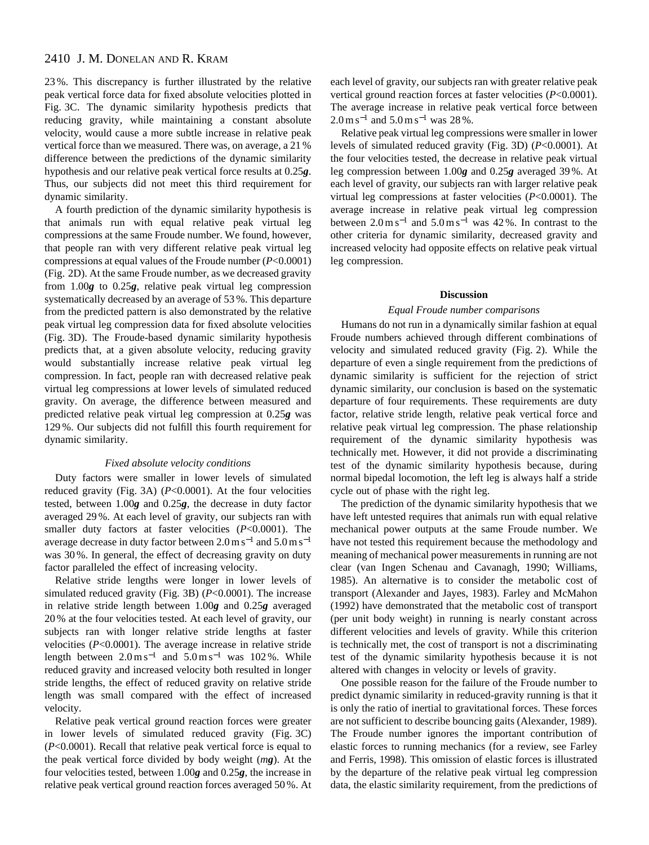# 2410 J. M. DONELAN AND R. KRAM

23 %. This discrepancy is further illustrated by the relative peak vertical force data for fixed absolute velocities plotted in Fig. 3C. The dynamic similarity hypothesis predicts that reducing gravity, while maintaining a constant absolute velocity, would cause a more subtle increase in relative peak vertical force than we measured. There was, on average, a 21 % difference between the predictions of the dynamic similarity hypothesis and our relative peak vertical force results at 0.25*g*. Thus, our subjects did not meet this third requirement for dynamic similarity.

A fourth prediction of the dynamic similarity hypothesis is that animals run with equal relative peak virtual leg compressions at the same Froude number. We found, however, that people ran with very different relative peak virtual leg compressions at equal values of the Froude number (*P*<0.0001) (Fig. 2D). At the same Froude number, as we decreased gravity from 1.00*g* to 0.25*g*, relative peak virtual leg compression systematically decreased by an average of 53 %. This departure from the predicted pattern is also demonstrated by the relative peak virtual leg compression data for fixed absolute velocities (Fig. 3D). The Froude-based dynamic similarity hypothesis predicts that, at a given absolute velocity, reducing gravity would substantially increase relative peak virtual leg compression. In fact, people ran with decreased relative peak virtual leg compressions at lower levels of simulated reduced gravity. On average, the difference between measured and predicted relative peak virtual leg compression at 0.25*g* was 129 %. Our subjects did not fulfill this fourth requirement for dynamic similarity.

#### *Fixed absolute velocity conditions*

Duty factors were smaller in lower levels of simulated reduced gravity (Fig. 3A) (*P*<0.0001). At the four velocities tested, between 1.00*g* and 0.25*g*, the decrease in duty factor averaged 29 %. At each level of gravity, our subjects ran with smaller duty factors at faster velocities (*P*<0.0001). The average decrease in duty factor between  $2.0 \text{ m s}^{-1}$  and  $5.0 \text{ m s}^{-1}$ was 30 %. In general, the effect of decreasing gravity on duty factor paralleled the effect of increasing velocity.

Relative stride lengths were longer in lower levels of simulated reduced gravity (Fig. 3B) (*P*<0.0001). The increase in relative stride length between 1.00*g* and 0.25*g* averaged 20 % at the four velocities tested. At each level of gravity, our subjects ran with longer relative stride lengths at faster velocities (*P*<0.0001). The average increase in relative stride length between  $2.0 \text{ m s}^{-1}$  and  $5.0 \text{ m s}^{-1}$  was 102 %. While reduced gravity and increased velocity both resulted in longer stride lengths, the effect of reduced gravity on relative stride length was small compared with the effect of increased velocity.

Relative peak vertical ground reaction forces were greater in lower levels of simulated reduced gravity (Fig. 3C) (*P*<0.0001). Recall that relative peak vertical force is equal to the peak vertical force divided by body weight (*mg*). At the four velocities tested, between 1.00*g* and 0.25*g*, the increase in relative peak vertical ground reaction forces averaged 50 %. At each level of gravity, our subjects ran with greater relative peak vertical ground reaction forces at faster velocities (*P*<0.0001). The average increase in relative peak vertical force between  $2.0 \,\mathrm{m\,s^{-1}}$  and  $5.0 \,\mathrm{m\,s^{-1}}$  was 28%.

Relative peak virtual leg compressions were smaller in lower levels of simulated reduced gravity (Fig. 3D) (*P*<0.0001). At the four velocities tested, the decrease in relative peak virtual leg compression between 1.00*g* and 0.25*g* averaged 39 %. At each level of gravity, our subjects ran with larger relative peak virtual leg compressions at faster velocities (*P*<0.0001). The average increase in relative peak virtual leg compression between  $2.0 \,\mathrm{m s^{-1}}$  and  $5.0 \,\mathrm{m s^{-1}}$  was 42 %. In contrast to the other criteria for dynamic similarity, decreased gravity and increased velocity had opposite effects on relative peak virtual leg compression.

#### **Discussion**

#### *Equal Froude number comparisons*

Humans do not run in a dynamically similar fashion at equal Froude numbers achieved through different combinations of velocity and simulated reduced gravity (Fig. 2). While the departure of even a single requirement from the predictions of dynamic similarity is sufficient for the rejection of strict dynamic similarity, our conclusion is based on the systematic departure of four requirements. These requirements are duty factor, relative stride length, relative peak vertical force and relative peak virtual leg compression. The phase relationship requirement of the dynamic similarity hypothesis was technically met. However, it did not provide a discriminating test of the dynamic similarity hypothesis because, during normal bipedal locomotion, the left leg is always half a stride cycle out of phase with the right leg.

The prediction of the dynamic similarity hypothesis that we have left untested requires that animals run with equal relative mechanical power outputs at the same Froude number. We have not tested this requirement because the methodology and meaning of mechanical power measurements in running are not clear (van Ingen Schenau and Cavanagh, 1990; Williams, 1985). An alternative is to consider the metabolic cost of transport (Alexander and Jayes, 1983). Farley and McMahon (1992) have demonstrated that the metabolic cost of transport (per unit body weight) in running is nearly constant across different velocities and levels of gravity. While this criterion is technically met, the cost of transport is not a discriminating test of the dynamic similarity hypothesis because it is not altered with changes in velocity or levels of gravity.

One possible reason for the failure of the Froude number to predict dynamic similarity in reduced-gravity running is that it is only the ratio of inertial to gravitational forces. These forces are not sufficient to describe bouncing gaits (Alexander, 1989). The Froude number ignores the important contribution of elastic forces to running mechanics (for a review, see Farley and Ferris, 1998). This omission of elastic forces is illustrated by the departure of the relative peak virtual leg compression data, the elastic similarity requirement, from the predictions of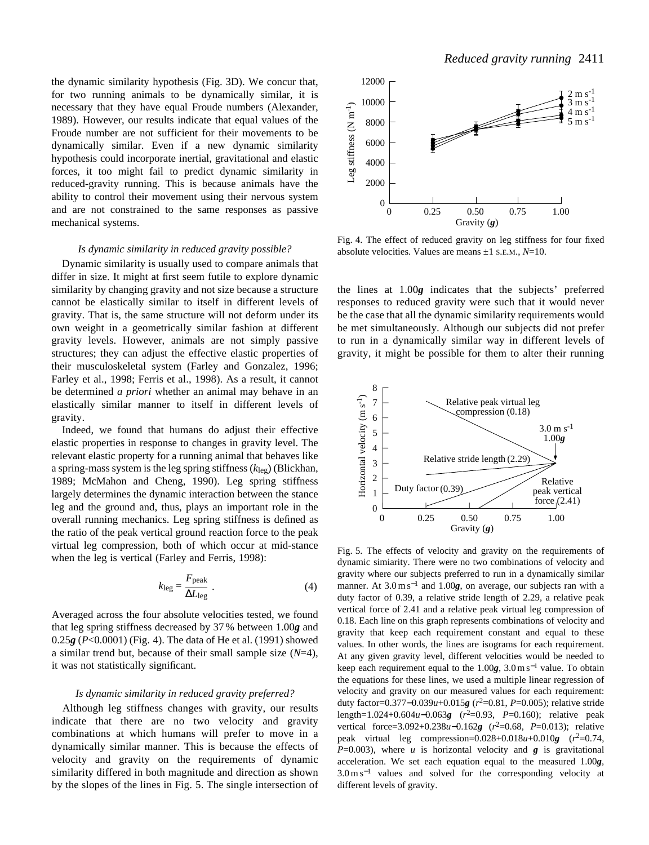the dynamic similarity hypothesis (Fig. 3D). We concur that, for two running animals to be dynamically similar, it is necessary that they have equal Froude numbers (Alexander, 1989). However, our results indicate that equal values of the Froude number are not sufficient for their movements to be dynamically similar. Even if a new dynamic similarity hypothesis could incorporate inertial, gravitational and elastic forces, it too might fail to predict dynamic similarity in reduced-gravity running. This is because animals have the ability to control their movement using their nervous system and are not constrained to the same responses as passive mechanical systems.

#### *Is dynamic similarity in reduced gravity possible?*

Dynamic similarity is usually used to compare animals that differ in size. It might at first seem futile to explore dynamic similarity by changing gravity and not size because a structure cannot be elastically similar to itself in different levels of gravity. That is, the same structure will not deform under its own weight in a geometrically similar fashion at different gravity levels. However, animals are not simply passive structures; they can adjust the effective elastic properties of their musculoskeletal system (Farley and Gonzalez, 1996; Farley et al., 1998; Ferris et al., 1998). As a result, it cannot be determined *a priori* whether an animal may behave in an elastically similar manner to itself in different levels of gravity.

Indeed, we found that humans do adjust their effective elastic properties in response to changes in gravity level. The relevant elastic property for a running animal that behaves like a spring-mass system is the leg spring stiffness (*k*leg) (Blickhan, 1989; McMahon and Cheng, 1990). Leg spring stiffness largely determines the dynamic interaction between the stance leg and the ground and, thus, plays an important role in the overall running mechanics. Leg spring stiffness is defined as the ratio of the peak vertical ground reaction force to the peak virtual leg compression, both of which occur at mid-stance when the leg is vertical (Farley and Ferris, 1998):

$$
k_{\text{leg}} = \frac{F_{\text{peak}}}{\Delta L_{\text{leg}}} \tag{4}
$$

Averaged across the four absolute velocities tested, we found that leg spring stiffness decreased by 37 % between 1.00*g* and 0.25*g* (*P*<0.0001) (Fig. 4). The data of He et al. (1991) showed a similar trend but, because of their small sample size (*N*=4), it was not statistically significant.

#### *Is dynamic similarity in reduced gravity preferred?*

Although leg stiffness changes with gravity, our results indicate that there are no two velocity and gravity combinations at which humans will prefer to move in a dynamically similar manner. This is because the effects of velocity and gravity on the requirements of dynamic similarity differed in both magnitude and direction as shown by the slopes of the lines in Fig. 5. The single intersection of



Fig. 4. The effect of reduced gravity on leg stiffness for four fixed absolute velocities. Values are means ±1 S.E.M., *N*=10.

the lines at 1.00*g* indicates that the subjects' preferred responses to reduced gravity were such that it would never be the case that all the dynamic similarity requirements would be met simultaneously. Although our subjects did not prefer to run in a dynamically similar way in different levels of gravity, it might be possible for them to alter their running



Fig. 5. The effects of velocity and gravity on the requirements of dynamic simiarity. There were no two combinations of velocity and gravity where our subjects preferred to run in a dynamically similar manner. At 3.0 m s<sup>-1</sup> and 1.00*g*, on average, our subjects ran with a duty factor of 0.39, a relative stride length of 2.29, a relative peak vertical force of 2.41 and a relative peak virtual leg compression of 0.18. Each line on this graph represents combinations of velocity and gravity that keep each requirement constant and equal to these values. In other words, the lines are isograms for each requirement. At any given gravity level, different velocities would be needed to keep each requirement equal to the  $1.00g$ ,  $3.0 \text{ m s}^{-1}$  value. To obtain the equations for these lines, we used a multiple linear regression of velocity and gravity on our measured values for each requirement: duty factor=0.377−0.039*u*+0.015*g* (*r*2=0.81, *P*=0.005); relative stride length=1.024+0.604*u*−0.063*g* (*r*2=0.93, *P*=0.160); relative peak vertical force=3.092+0.238*u*−0.162*g* (*r*2=0.68, *P*=0.013); relative peak virtual leg compression= $0.028+0.018u+0.010g$  ( $r^2=0.74$ ,  $P=0.003$ ), where *u* is horizontal velocity and *g* is gravitational acceleration. We set each equation equal to the measured 1.00*g*,  $3.0 \text{ m s}^{-1}$  values and solved for the corresponding velocity at different levels of gravity.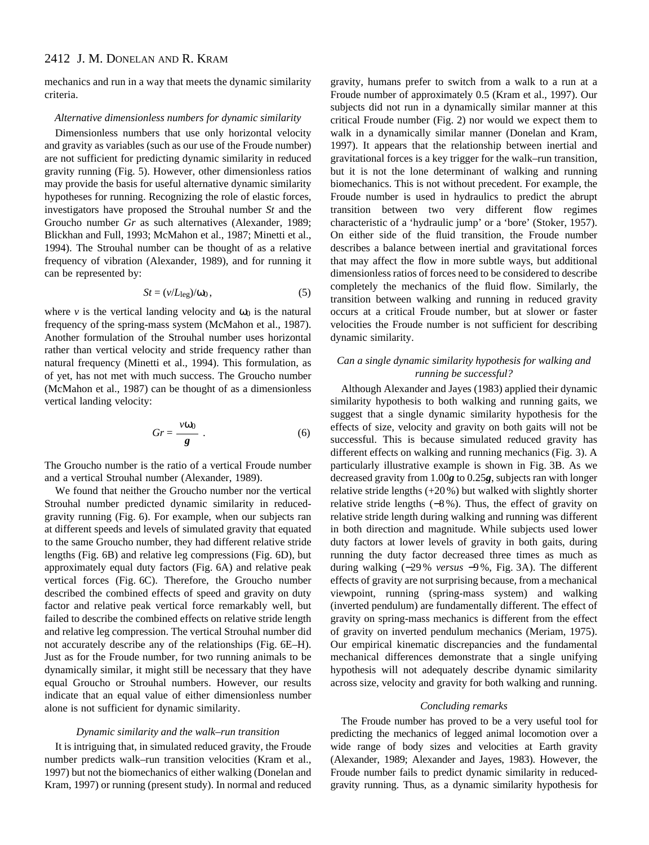mechanics and run in a way that meets the dynamic similarity criteria.

#### *Alternative dimensionless numbers for dynamic similarity*

Dimensionless numbers that use only horizontal velocity and gravity as variables (such as our use of the Froude number) are not sufficient for predicting dynamic similarity in reduced gravity running (Fig. 5). However, other dimensionless ratios may provide the basis for useful alternative dynamic similarity hypotheses for running. Recognizing the role of elastic forces, investigators have proposed the Strouhal number *St* and the Groucho number *Gr* as such alternatives (Alexander, 1989; Blickhan and Full, 1993; McMahon et al., 1987; Minetti et al., 1994). The Strouhal number can be thought of as a relative frequency of vibration (Alexander, 1989), and for running it can be represented by:

$$
St = (v/L_{\text{leg}})/\omega_0, \tag{5}
$$

where *v* is the vertical landing velocity and  $\omega_0$  is the natural frequency of the spring-mass system (McMahon et al., 1987). Another formulation of the Strouhal number uses horizontal rather than vertical velocity and stride frequency rather than natural frequency (Minetti et al., 1994). This formulation, as of yet, has not met with much success. The Groucho number (McMahon et al., 1987) can be thought of as a dimensionless vertical landing velocity:

$$
Gr = \frac{v\omega_0}{g} \ . \tag{6}
$$

The Groucho number is the ratio of a vertical Froude number and a vertical Strouhal number (Alexander, 1989).

We found that neither the Groucho number nor the vertical Strouhal number predicted dynamic similarity in reducedgravity running (Fig. 6). For example, when our subjects ran at different speeds and levels of simulated gravity that equated to the same Groucho number, they had different relative stride lengths (Fig. 6B) and relative leg compressions (Fig. 6D), but approximately equal duty factors (Fig. 6A) and relative peak vertical forces (Fig. 6C). Therefore, the Groucho number described the combined effects of speed and gravity on duty factor and relative peak vertical force remarkably well, but failed to describe the combined effects on relative stride length and relative leg compression. The vertical Strouhal number did not accurately describe any of the relationships (Fig. 6E–H). Just as for the Froude number, for two running animals to be dynamically similar, it might still be necessary that they have equal Groucho or Strouhal numbers. However, our results indicate that an equal value of either dimensionless number alone is not sufficient for dynamic similarity.

#### *Dynamic similarity and the walk–run transition*

It is intriguing that, in simulated reduced gravity, the Froude number predicts walk–run transition velocities (Kram et al., 1997) but not the biomechanics of either walking (Donelan and Kram, 1997) or running (present study). In normal and reduced gravity, humans prefer to switch from a walk to a run at a Froude number of approximately 0.5 (Kram et al., 1997). Our subjects did not run in a dynamically similar manner at this critical Froude number (Fig. 2) nor would we expect them to walk in a dynamically similar manner (Donelan and Kram, 1997). It appears that the relationship between inertial and gravitational forces is a key trigger for the walk–run transition, but it is not the lone determinant of walking and running biomechanics. This is not without precedent. For example, the Froude number is used in hydraulics to predict the abrupt transition between two very different flow regimes characteristic of a 'hydraulic jump' or a 'bore' (Stoker, 1957). On either side of the fluid transition, the Froude number describes a balance between inertial and gravitational forces that may affect the flow in more subtle ways, but additional dimensionless ratios of forces need to be considered to describe completely the mechanics of the fluid flow. Similarly, the transition between walking and running in reduced gravity occurs at a critical Froude number, but at slower or faster velocities the Froude number is not sufficient for describing dynamic similarity.

# *Can a single dynamic similarity hypothesis for walking and running be successful?*

Although Alexander and Jayes (1983) applied their dynamic similarity hypothesis to both walking and running gaits, we suggest that a single dynamic similarity hypothesis for the effects of size, velocity and gravity on both gaits will not be successful. This is because simulated reduced gravity has different effects on walking and running mechanics (Fig. 3). A particularly illustrative example is shown in Fig. 3B. As we decreased gravity from 1.00*g* to 0.25*g*, subjects ran with longer relative stride lengths (+20 %) but walked with slightly shorter relative stride lengths (−8 %). Thus, the effect of gravity on relative stride length during walking and running was different in both direction and magnitude. While subjects used lower duty factors at lower levels of gravity in both gaits, during running the duty factor decreased three times as much as during walking (−29 % *versus* −9 %, Fig. 3A). The different effects of gravity are not surprising because, from a mechanical viewpoint, running (spring-mass system) and walking (inverted pendulum) are fundamentally different. The effect of gravity on spring-mass mechanics is different from the effect of gravity on inverted pendulum mechanics (Meriam, 1975). Our empirical kinematic discrepancies and the fundamental mechanical differences demonstrate that a single unifying hypothesis will not adequately describe dynamic similarity across size, velocity and gravity for both walking and running.

#### *Concluding remarks*

The Froude number has proved to be a very useful tool for predicting the mechanics of legged animal locomotion over a wide range of body sizes and velocities at Earth gravity (Alexander, 1989; Alexander and Jayes, 1983). However, the Froude number fails to predict dynamic similarity in reducedgravity running. Thus, as a dynamic similarity hypothesis for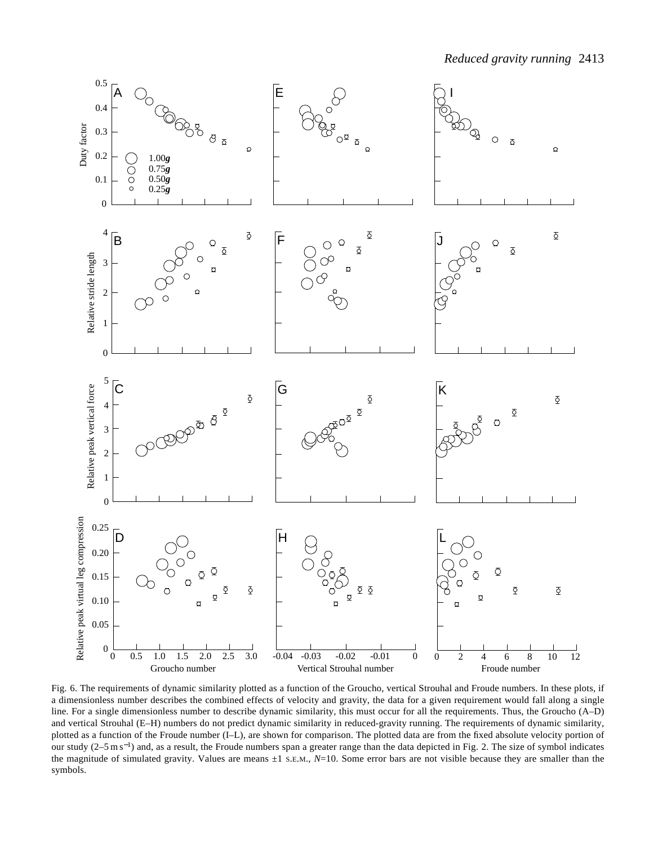

Fig. 6. The requirements of dynamic similarity plotted as a function of the Groucho, vertical Strouhal and Froude numbers. In these plots, if a dimensionless number describes the combined effects of velocity and gravity, the data for a given requirement would fall along a single line. For a single dimensionless number to describe dynamic similarity, this must occur for all the requirements. Thus, the Groucho (A–D) and vertical Strouhal (E–H) numbers do not predict dynamic similarity in reduced-gravity running. The requirements of dynamic similarity, plotted as a function of the Froude number (I–L), are shown for comparison. The plotted data are from the fixed absolute velocity portion of our study (2–5 m s<sup>-1</sup>) and, as a result, the Froude numbers span a greater range than the data depicted in Fig. 2. The size of symbol indicates the magnitude of simulated gravity. Values are means  $\pm 1$  s.E.M.,  $N=10$ . Some error bars are not visible because they are smaller than the symbols.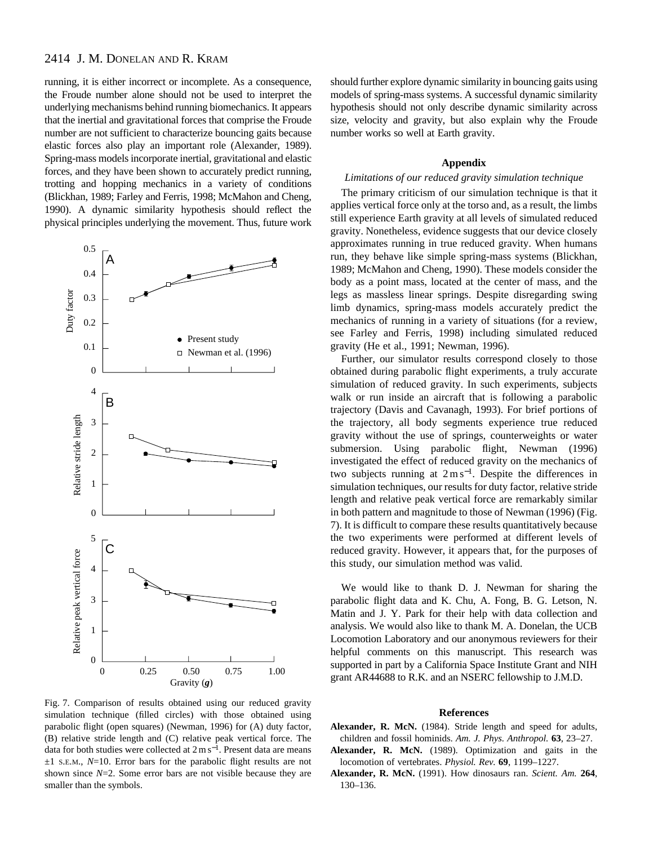# 2414 J. M. DONELAN AND R. KRAM

running, it is either incorrect or incomplete. As a consequence, the Froude number alone should not be used to interpret the underlying mechanisms behind running biomechanics. It appears that the inertial and gravitational forces that comprise the Froude number are not sufficient to characterize bouncing gaits because elastic forces also play an important role (Alexander, 1989). Spring-mass models incorporate inertial, gravitational and elastic forces, and they have been shown to accurately predict running, trotting and hopping mechanics in a variety of conditions (Blickhan, 1989; Farley and Ferris, 1998; McMahon and Cheng, 1990). A dynamic similarity hypothesis should reflect the physical principles underlying the movement. Thus, future work



Fig. 7. Comparison of results obtained using our reduced gravity simulation technique (filled circles) with those obtained using parabolic flight (open squares) (Newman, 1996) for (A) duty factor, (B) relative stride length and (C) relative peak vertical force. The data for both studies were collected at 2 m s<sup>−</sup>1. Present data are means ±1 S.E.M., *N*=10. Error bars for the parabolic flight results are not shown since *N*=2. Some error bars are not visible because they are smaller than the symbols.

should further explore dynamic similarity in bouncing gaits using models of spring-mass systems. A successful dynamic similarity hypothesis should not only describe dynamic similarity across size, velocity and gravity, but also explain why the Froude number works so well at Earth gravity.

### **Appendix**

# *Limitations of our reduced gravity simulation technique*

The primary criticism of our simulation technique is that it applies vertical force only at the torso and, as a result, the limbs still experience Earth gravity at all levels of simulated reduced gravity. Nonetheless, evidence suggests that our device closely approximates running in true reduced gravity. When humans run, they behave like simple spring-mass systems (Blickhan, 1989; McMahon and Cheng, 1990). These models consider the body as a point mass, located at the center of mass, and the legs as massless linear springs. Despite disregarding swing limb dynamics, spring-mass models accurately predict the mechanics of running in a variety of situations (for a review, see Farley and Ferris, 1998) including simulated reduced gravity (He et al., 1991; Newman, 1996).

Further, our simulator results correspond closely to those obtained during parabolic flight experiments, a truly accurate simulation of reduced gravity. In such experiments, subjects walk or run inside an aircraft that is following a parabolic trajectory (Davis and Cavanagh, 1993). For brief portions of the trajectory, all body segments experience true reduced gravity without the use of springs, counterweights or water submersion. Using parabolic flight, Newman (1996) investigated the effect of reduced gravity on the mechanics of two subjects running at 2 m s<sup>−</sup>1. Despite the differences in simulation techniques, our results for duty factor, relative stride length and relative peak vertical force are remarkably similar in both pattern and magnitude to those of Newman (1996) (Fig. 7). It is difficult to compare these results quantitatively because the two experiments were performed at different levels of reduced gravity. However, it appears that, for the purposes of this study, our simulation method was valid.

We would like to thank D. J. Newman for sharing the parabolic flight data and K. Chu, A. Fong, B. G. Letson, N. Matin and J. Y. Park for their help with data collection and analysis. We would also like to thank M. A. Donelan, the UCB Locomotion Laboratory and our anonymous reviewers for their helpful comments on this manuscript. This research was supported in part by a California Space Institute Grant and NIH grant AR44688 to R.K. and an NSERC fellowship to J.M.D.

### **References**

- **Alexander, R. McN.** (1984). Stride length and speed for adults, children and fossil hominids. *Am. J. Phys. Anthropol.* **63**, 23–27.
- **Alexander, R. McN.** (1989). Optimization and gaits in the locomotion of vertebrates. *Physiol. Rev.* **69**, 1199–1227.
- **Alexander, R. McN.** (1991). How dinosaurs ran. *Scient. Am.* **264**, 130–136.